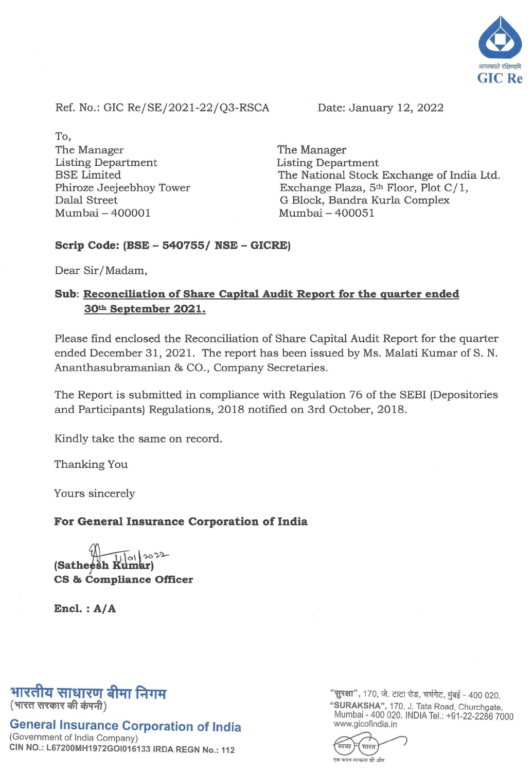

Ref. No.: GIC Re/SE/2021-22/Q3-RSCA Date: January 12, 2022

To, The Manager Listing Department BSE Limited Phiroze Jeejeebhoy Tower Dalal Street Mumbai - 400001

The Manager Listing Department The National Stock Exchange of India Ltd. Exchange Plaza, 5<sup>th</sup> Floor, Plot C/1, G Block, Bandra Kurla Complex Mumbai - 400051

## **Scrip Code: (BSE - 540755/ NSE - GICRE)**

Dear Sir/Madam,

## **Sub: Reconciliation of Share Capital Audit Report for the quarter ended 30th September 2021.**

Please find enclosed the Reconciliation of Share Capital Audit Report for the quarter ended December 31,2021. The report has been issued by Ms. Malati Kumar of S. N. Ananthasubramanian & CO., Company Secretaries.

The Report is submitted in compliance with Regulation 76 of the SEBI (Depositories and Participants) Regulations, 2018 notified on 3rd October, 2018.

Kindly take the same on record.

Thanking You

Yours sincerely

## **For General Insurance Corporation of India**

 $01202$ **(Satheesh Kt CS & Compliance Officer** 

**Encl. : A/A** 

## भारतीय साधारणू बीमा निगम (भारत सरकार की कंपनी)

**General Insurance Corporation of India** 

(Government of India Company) CIN NO.: L67200MH1972GOI016133 IRDA REGN No.: 112 "सुरक्षा", 170, जे. टाटा रोड, चर्चगेट, मुंबई - 400 020. "SURAKSHA", 170, J. Tata Road, Churchgate, Mumbai - 400 020. INDIA Tel.: +91-22-2286 7000 www.gicofindia.in

भारत कदम स्वच्छता की ओर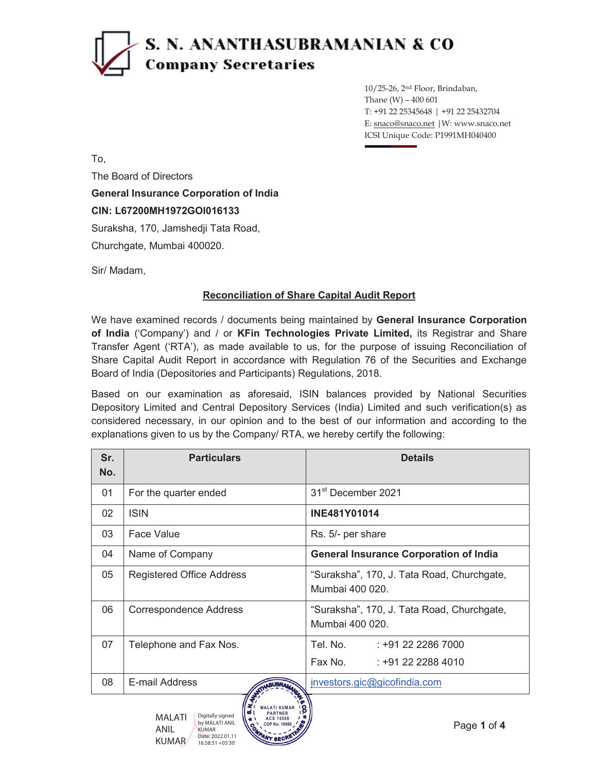# S. N. ANANTHASUBRAMANIAN & CO **Company Secretaries**

10/25-26, 2nd Floor, Brindaban, Thane (W) – 400 601 T: +91 22 25345648 | +91 22 25432704 E: snaco@snaco.net |W: www.snaco.net ICSI Unique Code: P1991MH040400

To,

The Board of Directors

## **General Insurance Corporation of India**

**CIN: L67200MH1972GOI016133**

Suraksha, 170, Jamshedji Tata Road,

Churchgate, Mumbai 400020.

Sir/ Madam,

### **Reconciliation of Share Capital Audit Report**

We have examined records / documents being maintained by **General Insurance Corporation of India** ('Company') and / or **KFin Technologies Private Limited,** its Registrar and Share Transfer Agent ('RTA'), as made available to us, for the purpose of issuing Reconciliation of Share Capital Audit Report in accordance with Regulation 76 of the Securities and Exchange Board of India (Depositories and Participants) Regulations, 2018.

Based on our examination as aforesaid, ISIN balances provided by National Securities Depository Limited and Central Depository Services (India) Limited and such verification(s) as considered necessary, in our opinion and to the best of our information and according to the explanations given to us by the Company/ RTA, we hereby certify the following:

| Sr.<br>No. | <b>Particulars</b>               | <b>Details</b>                                                |  |  |
|------------|----------------------------------|---------------------------------------------------------------|--|--|
| 01         | For the quarter ended            | 31 <sup>st</sup> December 2021                                |  |  |
| 02         | <b>ISIN</b>                      | <b>INE481Y01014</b>                                           |  |  |
| 03         | Face Value                       | Rs. 5/- per share                                             |  |  |
| 04         | Name of Company                  | <b>General Insurance Corporation of India</b>                 |  |  |
| 05         | <b>Registered Office Address</b> | "Suraksha", 170, J. Tata Road, Churchgate,<br>Mumbai 400 020. |  |  |
| 06         | Correspondence Address           | "Suraksha", 170, J. Tata Road, Churchgate,<br>Mumbai 400 020. |  |  |
| 07         | Telephone and Fax Nos.           | Tel. No.<br>: +91 22 2286 7000                                |  |  |
|            |                                  | Fax No.<br>$: +91222884010$                                   |  |  |
| 08         | E-mail Address                   | investors.gic@gicofindia.com                                  |  |  |

**MALATI KUMAR PARTNER ACS 15508 COP No. 10980**

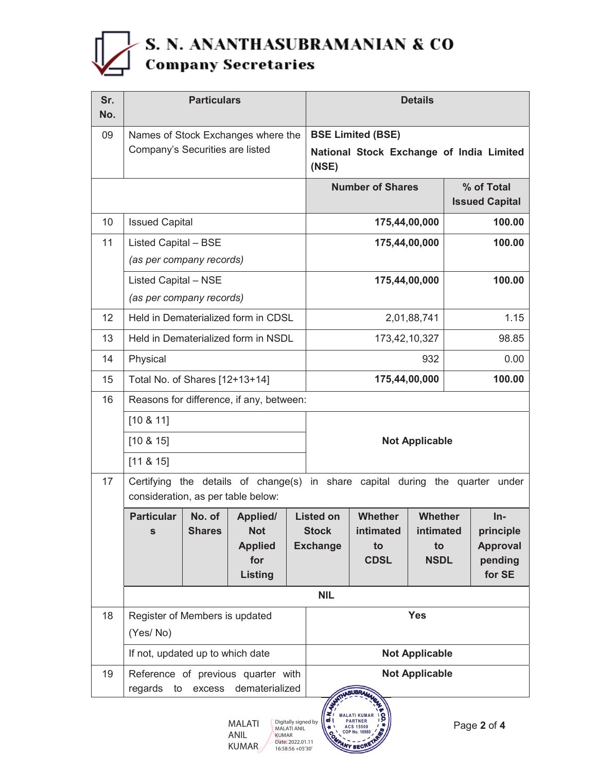

| Sr.<br>No. |                                                                                                                     | <b>Particulars</b> |                                     |                                                   | <b>Details</b>                  |                 |                 |                                 |                              |
|------------|---------------------------------------------------------------------------------------------------------------------|--------------------|-------------------------------------|---------------------------------------------------|---------------------------------|-----------------|-----------------|---------------------------------|------------------------------|
| 09         |                                                                                                                     |                    | Names of Stock Exchanges where the  |                                                   | <b>BSE Limited (BSE)</b>        |                 |                 |                                 |                              |
|            | Company's Securities are listed                                                                                     |                    |                                     | National Stock Exchange of India Limited<br>(NSE) |                                 |                 |                 |                                 |                              |
|            |                                                                                                                     |                    |                                     | <b>Number of Shares</b>                           |                                 |                 |                 | % of Total                      |                              |
| 10         |                                                                                                                     |                    |                                     |                                                   |                                 |                 |                 | <b>Issued Capital</b><br>100.00 |                              |
|            | <b>Issued Capital</b>                                                                                               |                    |                                     | 175,44,00,000                                     |                                 |                 |                 |                                 |                              |
| 11         | Listed Capital - BSE<br>(as per company records)                                                                    |                    |                                     | 175,44,00,000<br>100.00                           |                                 |                 |                 |                                 |                              |
|            |                                                                                                                     |                    |                                     |                                                   |                                 |                 |                 | 100.00                          |                              |
|            | <b>Listed Capital - NSE</b><br>(as per company records)                                                             |                    |                                     |                                                   |                                 | 175,44,00,000   |                 |                                 |                              |
| 12         |                                                                                                                     |                    | Held in Dematerialized form in CDSL |                                                   | 2,01,88,741                     |                 |                 |                                 | 1.15                         |
| 13         |                                                                                                                     |                    | Held in Dematerialized form in NSDL |                                                   | 173,42,10,327                   |                 |                 |                                 | 98.85                        |
| 14         | Physical                                                                                                            |                    |                                     |                                                   | 932                             |                 |                 |                                 | 0.00                         |
| 15         | Total No. of Shares [12+13+14]                                                                                      |                    |                                     | 175,44,00,000                                     |                                 |                 | 100.00          |                                 |                              |
| 16         | Reasons for difference, if any, between:                                                                            |                    |                                     |                                                   |                                 |                 |                 |                                 |                              |
|            | [10 & 11]                                                                                                           |                    |                                     |                                                   |                                 |                 |                 |                                 |                              |
|            | $[10 \& 15]$                                                                                                        |                    |                                     |                                                   | <b>Not Applicable</b>           |                 |                 |                                 |                              |
|            | $[11 \& 15]$                                                                                                        |                    |                                     |                                                   |                                 |                 |                 |                                 |                              |
| 17         | Certifying the details of change(s) in share capital during the quarter under<br>consideration, as per table below: |                    |                                     |                                                   |                                 |                 |                 |                                 |                              |
|            | <b>Particular</b>                                                                                                   | No. of             | <b>Applied/</b>                     |                                                   | <b>Listed on</b>                | Whether         | <b>Whether</b>  |                                 | $In-$                        |
|            | $\mathbf{s}$                                                                                                        | <b>Shares</b>      | <b>Not</b><br><b>Applied</b>        |                                                   | <b>Stock</b><br><b>Exchange</b> | intimated<br>to | intimated<br>to |                                 | principle<br><b>Approval</b> |
|            |                                                                                                                     |                    | for                                 |                                                   |                                 | <b>CDSL</b>     | <b>NSDL</b>     |                                 | pending                      |
|            |                                                                                                                     |                    | <b>Listing</b>                      |                                                   |                                 |                 |                 |                                 | for SE                       |
|            | <b>NIL</b>                                                                                                          |                    |                                     |                                                   |                                 |                 |                 |                                 |                              |
| 18         | Register of Members is updated<br>(Yes/No)                                                                          |                    |                                     | <b>Yes</b>                                        |                                 |                 |                 |                                 |                              |
|            | If not, updated up to which date                                                                                    |                    |                                     | <b>Not Applicable</b>                             |                                 |                 |                 |                                 |                              |
| 19         | Reference of previous quarter with<br>regards<br>dematerialized<br>to<br>excess                                     |                    |                                     | <b>Not Applicable</b><br>SATINGUBRAMMAN           |                                 |                 |                 |                                 |                              |



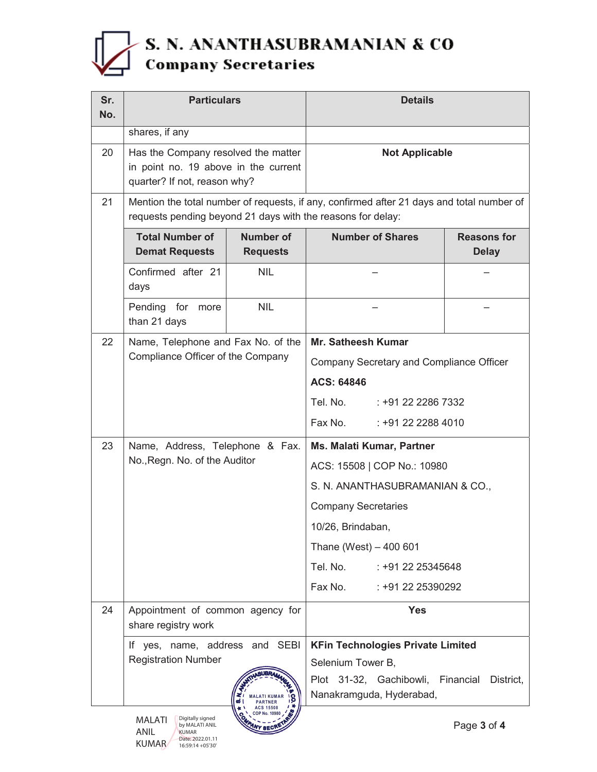# S. N. ANANTHASUBRAMANIAN & CO<br>Company Secretaries

| Sr.<br>No. | <b>Particulars</b>                                                                                          |                                     | <b>Details</b>                                                                            |                                    |  |  |
|------------|-------------------------------------------------------------------------------------------------------------|-------------------------------------|-------------------------------------------------------------------------------------------|------------------------------------|--|--|
|            | shares, if any                                                                                              |                                     |                                                                                           |                                    |  |  |
| 20         | Has the Company resolved the matter<br>in point no. 19 above in the current<br>quarter? If not, reason why? |                                     | <b>Not Applicable</b>                                                                     |                                    |  |  |
| 21         | requests pending beyond 21 days with the reasons for delay:                                                 |                                     | Mention the total number of requests, if any, confirmed after 21 days and total number of |                                    |  |  |
|            | <b>Total Number of</b><br><b>Demat Requests</b>                                                             | <b>Number of</b><br><b>Requests</b> | <b>Number of Shares</b>                                                                   | <b>Reasons for</b><br><b>Delay</b> |  |  |
|            | Confirmed after 21<br>days                                                                                  | <b>NIL</b>                          |                                                                                           |                                    |  |  |
|            | Pending for<br>more<br>than 21 days                                                                         | <b>NIL</b>                          |                                                                                           |                                    |  |  |
| 22         | Name, Telephone and Fax No. of the<br>Compliance Officer of the Company                                     |                                     | <b>Mr. Satheesh Kumar</b>                                                                 |                                    |  |  |
|            |                                                                                                             |                                     | Company Secretary and Compliance Officer                                                  |                                    |  |  |
|            |                                                                                                             |                                     | ACS: 64846                                                                                |                                    |  |  |
|            |                                                                                                             |                                     | Tel. No.<br>: +91 22 2286 7332                                                            |                                    |  |  |
|            |                                                                                                             |                                     | Fax No.<br>: +91 22 2288 4010                                                             |                                    |  |  |
| 23         | Name, Address, Telephone & Fax.                                                                             |                                     | <b>Ms. Malati Kumar, Partner</b>                                                          |                                    |  |  |
|            | No., Regn. No. of the Auditor                                                                               |                                     | ACS: 15508   COP No.: 10980                                                               |                                    |  |  |
|            |                                                                                                             |                                     | S. N. ANANTHASUBRAMANIAN & CO.,                                                           |                                    |  |  |
|            |                                                                                                             |                                     | <b>Company Secretaries</b>                                                                |                                    |  |  |
|            |                                                                                                             |                                     | 10/26, Brindaban,                                                                         |                                    |  |  |
|            |                                                                                                             |                                     | Thane (West) $-400601$                                                                    |                                    |  |  |
|            |                                                                                                             |                                     | Tel. No. : +91 22 25345648                                                                |                                    |  |  |
|            |                                                                                                             |                                     | Fax No.<br>$: +912225390292$                                                              |                                    |  |  |
| 24         | Appointment of common agency for<br>share registry work<br>If yes, name, address and SEBI                   |                                     | <b>Yes</b>                                                                                |                                    |  |  |
|            |                                                                                                             |                                     | <b>KFin Technologies Private Limited</b>                                                  |                                    |  |  |
|            | <b>Registration Number</b>                                                                                  |                                     | Selenium Tower B,                                                                         |                                    |  |  |
|            |                                                                                                             | <b>PARTNER</b><br><b>ACS 15508</b>  | Plot 31-32, Gachibowli,<br>Nanakramguda, Hyderabad,                                       | Financial<br>District,             |  |  |
|            | COP No. 10980<br>Digitally signed<br><b>MALATI</b><br>Dao 3 of A<br>hy MAI ATI ANII                         |                                     |                                                                                           |                                    |  |  |

ANIL KUMAR